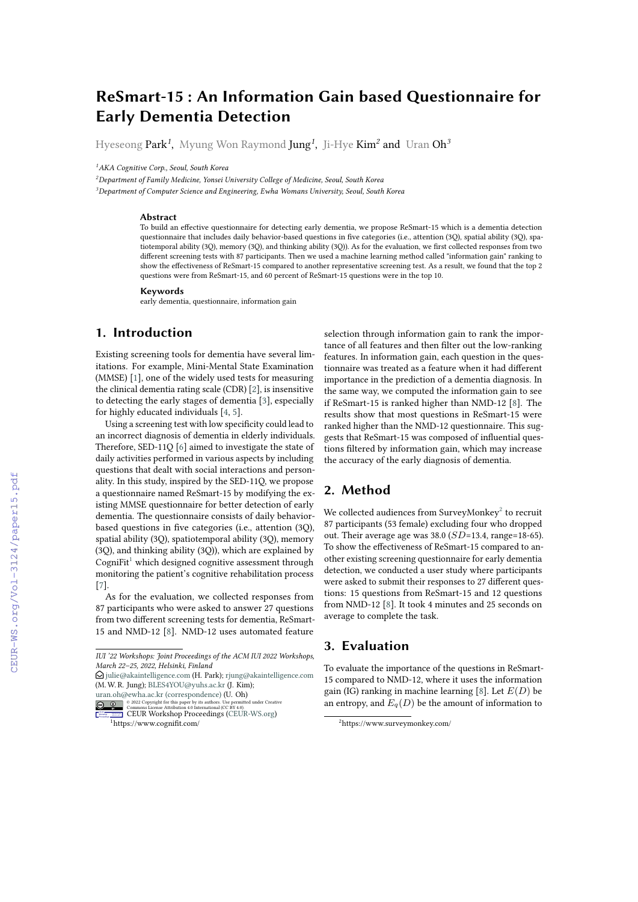# **ReSmart-15 : An Information Gain based Questionnaire for Early Dementia Detection**

Hyeseong Park*<sup>1</sup>* , Myung Won Raymond Jung*<sup>1</sup>* , Ji-Hye Kim*<sup>2</sup>* and Uran Oh*<sup>3</sup>*

*<sup>1</sup>AKA Cognitive Corp., Seoul, South Korea*

*<sup>2</sup>Department of Family Medicine, Yonsei University College of Medicine, Seoul, South Korea*

*<sup>3</sup>Department of Computer Science and Engineering, Ewha Womans University, Seoul, South Korea*

#### **Abstract**

To build an effective questionnaire for detecting early dementia, we propose ReSmart-15 which is a dementia detection questionnaire that includes daily behavior-based questions in five categories (i.e., attention (3Q), spatial ability (3Q), spatiotemporal ability (3Q), memory (3Q), and thinking ability (3Q)). As for the evaluation, we first collected responses from two different screening tests with 87 participants. Then we used a machine learning method called "information gain" ranking to show the effectiveness of ReSmart-15 compared to another representative screening test. As a result, we found that the top 2 questions were from ReSmart-15, and 60 percent of ReSmart-15 questions were in the top 10.

#### **Keywords**

early dementia, questionnaire, information gain

### **1. Introduction**

Existing screening tools for dementia have several limitations. For example, Mini-Mental State Examination (MMSE) [\[1\]](#page--1-0), one of the widely used tests for measuring the clinical dementia rating scale (CDR) [\[2\]](#page--1-1), is insensitive to detecting the early stages of dementia [\[3\]](#page--1-2), especially for highly educated individuals [\[4,](#page--1-3) [5\]](#page--1-4).

Using a screening test with low specificity could lead to an incorrect diagnosis of dementia in elderly individuals. Therefore, SED-11Q [\[6\]](#page--1-5) aimed to investigate the state of daily activities performed in various aspects by including questions that dealt with social interactions and personality. In this study, inspired by the SED-11Q, we propose a questionnaire named ReSmart-15 by modifying the existing MMSE questionnaire for better detection of early dementia. The questionnaire consists of daily behaviorbased questions in five categories (i.e., attention (3Q), spatial ability (3Q), spatiotemporal ability (3Q), memory (3Q), and thinking ability (3Q)), which are explained by Cogni $Fit<sup>1</sup>$  $Fit<sup>1</sup>$  $Fit<sup>1</sup>$  which designed cognitive assessment through monitoring the patient's cognitive rehabilitation process [\[7\]](#page--1-6).

As for the evaluation, we collected responses from 87 participants who were asked to answer 27 questions from two different screening tests for dementia, ReSmart-15 and NMD-12 [\[8\]](#page--1-7). NMD-12 uses automated feature

 $\Theta$  [julie@akaintelligence.com](mailto:julie@akaintelligence.com) (H. Park); [rjung@akaintelligence.com](mailto:rjung@akaintelligence.com) (M. W. R. Jung); [BLES4YOU@yuhs.ac.kr](mailto:BLES4YOU@yuhs.ac.kr) (J. Kim);

[uran.oh@ewha.ac.kr \(correspondence\)](mailto:uran.oh@ewha.ac.kr (correspondence)) (U. Oh)

**EDURY OF THE SECTION CONSTRAINING A CONSTRAINING A CONSTRAINING A CONSTRAINING A CONSTRAINING A CONSTRAINING A**<br>CE**URY OF THE SECTION PROCEEDING** CONTROL CONSTRAINING A CONSTRAINING **CONSTRAINING** 

selection through information gain to rank the importance of all features and then filter out the low-ranking features. In information gain, each question in the questionnaire was treated as a feature when it had different importance in the prediction of a dementia diagnosis. In the same way, we computed the information gain to see if ReSmart-15 is ranked higher than NMD-12 [\[8\]](#page--1-7). The results show that most questions in ReSmart-15 were ranked higher than the NMD-12 questionnaire. This suggests that ReSmart-15 was composed of influential questions filtered by information gain, which may increase the accuracy of the early diagnosis of dementia.

### **2. Method**

We collected audiences from SurveyMonkey $^2$  $^2$  to recruit 87 participants (53 female) excluding four who dropped out. Their average age was  $38.0$  ( $SD=13.4$ , range=18-65). To show the effectiveness of ReSmart-15 compared to another existing screening questionnaire for early dementia detection, we conducted a user study where participants were asked to submit their responses to 27 different questions: 15 questions from ReSmart-15 and 12 questions from NMD-12 [\[8\]](#page--1-7). It took 4 minutes and 25 seconds on average to complete the task.

#### **3. Evaluation**

To evaluate the importance of the questions in ReSmart-15 compared to NMD-12, where it uses the information gain (IG) ranking in machine learning [\[8\]](#page--1-7). Let  $E(D)$  be an entropy, and  $E_q(D)$  be the amount of information to

*IUI '22 Workshops: Joint Proceedings of the ACM IUI 2022 Workshops, March 22–25, 2022, Helsinki, Finland*

<span id="page-0-0"></span><sup>1</sup>https://www.cognifit.com/

<span id="page-0-1"></span><sup>2</sup>https://www.surveymonkey.com/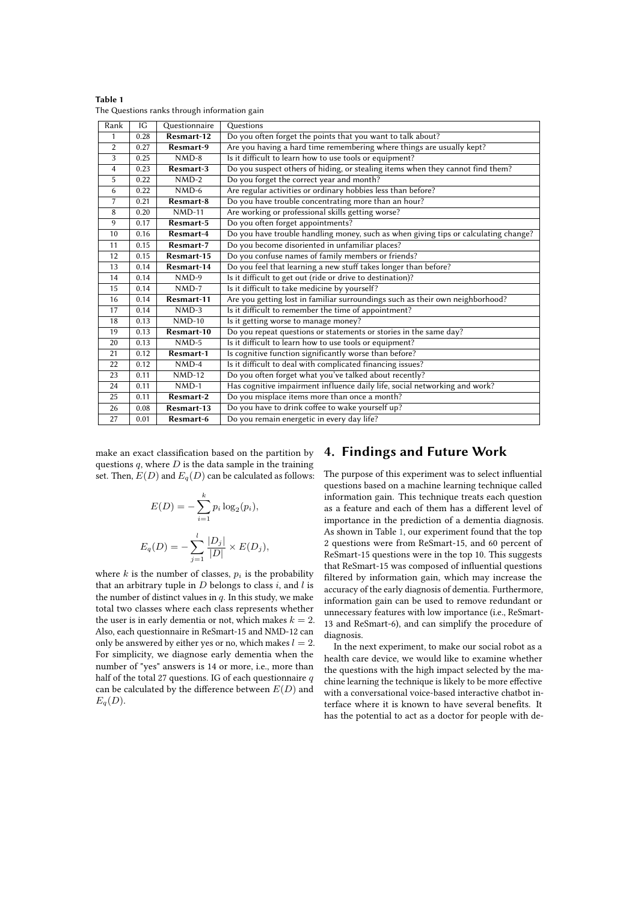| Rank           | IG   | Questionnaire | Questions                                                                           |  |  |
|----------------|------|---------------|-------------------------------------------------------------------------------------|--|--|
| 1              | 0.28 | Resmart-12    | Do you often forget the points that you want to talk about?                         |  |  |
| $\overline{2}$ | 0.27 | Resmart-9     | Are you having a hard time remembering where things are usually kept?               |  |  |
| 3              | 0.25 | $NMD-8$       | Is it difficult to learn how to use tools or equipment?                             |  |  |
| 4              | 0.23 | Resmart-3     | Do you suspect others of hiding, or stealing items when they cannot find them?      |  |  |
| 5              | 0.22 | $NMD-2$       | Do you forget the correct year and month?                                           |  |  |
| 6              | 0.22 | $NMD-6$       | Are regular activities or ordinary hobbies less than before?                        |  |  |
| $\overline{7}$ | 0.21 | Resmart-8     | Do you have trouble concentrating more than an hour?                                |  |  |
| 8              | 0.20 | $NMD-11$      | Are working or professional skills getting worse?                                   |  |  |
| 9              | 0.17 | Resmart-5     | Do you often forget appointments?                                                   |  |  |
| 10             | 0.16 | Resmart-4     | Do you have trouble handling money, such as when giving tips or calculating change? |  |  |
| 11             | 0.15 | Resmart-7     | Do you become disoriented in unfamiliar places?                                     |  |  |
| 12             | 0.15 | Resmart-15    | Do you confuse names of family members or friends?                                  |  |  |
| 13             | 0.14 | Resmart-14    | Do you feel that learning a new stuff takes longer than before?                     |  |  |
| 14             | 0.14 | $NMD-9$       | Is it difficult to get out (ride or drive to destination)?                          |  |  |
| 15             | 0.14 | $NMD-7$       | Is it difficult to take medicine by yourself?                                       |  |  |
| 16             | 0.14 | Resmart-11    | Are you getting lost in familiar surroundings such as their own neighborhood?       |  |  |
| 17             | 0.14 | $NMD-3$       | Is it difficult to remember the time of appointment?                                |  |  |
| 18             | 0.13 | $NMD-10$      | Is it getting worse to manage money?                                                |  |  |
| 19             | 0.13 | Resmart-10    | Do you repeat questions or statements or stories in the same day?                   |  |  |
| 20             | 0.13 | $NMD-5$       | Is it difficult to learn how to use tools or equipment?                             |  |  |
| 21             | 0.12 | Resmart-1     | Is cognitive function significantly worse than before?                              |  |  |
| 22             | 0.12 | $NMD-4$       | Is it difficult to deal with complicated financing issues?                          |  |  |
| 23             | 0.11 | $NMD-12$      | Do you often forget what you've talked about recently?                              |  |  |
| 24             | 0.11 | $NMD-1$       | Has cognitive impairment influence daily life, social networking and work?          |  |  |
| 25             | 0.11 | Resmart-2     | Do you misplace items more than once a month?                                       |  |  |
| 26             | 0.08 | Resmart-13    | Do you have to drink coffee to wake yourself up?                                    |  |  |
| 27             | 0.01 | Resmart-6     | Do you remain energetic in every day life?                                          |  |  |

<span id="page-1-0"></span>

| Table 1                                      |  |  |
|----------------------------------------------|--|--|
| The Questions ranks through information gain |  |  |

make an exact classification based on the partition by questions  $q$ , where  $D$  is the data sample in the training set. Then,  $E(D)$  and  $E_q(D)$  can be calculated as follows:

$$
E(D) = -\sum_{i=1}^{k} p_i \log_2(p_i),
$$
  

$$
E_q(D) = -\sum_{j=1}^{l} \frac{|D_j|}{|D|} \times E(D_j),
$$

where  $k$  is the number of classes,  $p_i$  is the probability that an arbitrary tuple in  $D$  belongs to class  $i$ , and  $l$  is the number of distinct values in  $q$ . In this study, we make total two classes where each class represents whether the user is in early dementia or not, which makes  $k = 2$ . Also, each questionnaire in ReSmart-15 and NMD-12 can only be answered by either yes or no, which makes  $l = 2$ . For simplicity, we diagnose early dementia when the number of "yes" answers is 14 or more, i.e., more than half of the total 27 questions. IG of each questionnaire  $q$ can be calculated by the difference between  $E(D)$  and  $E_q(D)$ .

## **4. Findings and Future Work**

The purpose of this experiment was to select influential questions based on a machine learning technique called information gain. This technique treats each question as a feature and each of them has a different level of importance in the prediction of a dementia diagnosis. As shown in Table [1,](#page-1-0) our experiment found that the top 2 questions were from ReSmart-15, and 60 percent of ReSmart-15 questions were in the top 10. This suggests that ReSmart-15 was composed of influential questions filtered by information gain, which may increase the accuracy of the early diagnosis of dementia. Furthermore, information gain can be used to remove redundant or unnecessary features with low importance (i.e., ReSmart-13 and ReSmart-6), and can simplify the procedure of diagnosis.

In the next experiment, to make our social robot as a health care device, we would like to examine whether the questions with the high impact selected by the machine learning the technique is likely to be more effective with a conversational voice-based interactive chatbot interface where it is known to have several benefits. It has the potential to act as a doctor for people with de-